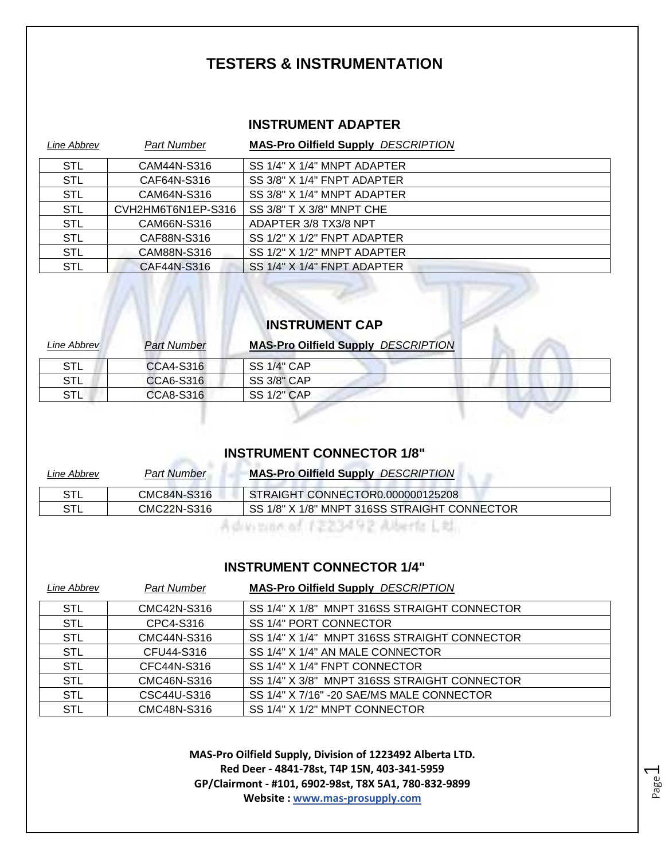#### **TESTERS & INSTRUMENTATION**

#### **INSTRUMENT ADAPTER**

| Line Abbrev | <b>Part Number</b> | <b>MAS-Pro Oilfield Supply DESCRIPTION</b> |
|-------------|--------------------|--------------------------------------------|
| STL         | CAM44N-S316        | SS 1/4" X 1/4" MNPT ADAPTER                |
| <b>STL</b>  | CAF64N-S316        | SS 3/8" X 1/4" FNPT ADAPTER                |
| <b>STL</b>  | CAM64N-S316        | SS 3/8" X 1/4" MNPT ADAPTER                |
| <b>STL</b>  | CVH2HM6T6N1EP-S316 | SS 3/8" T X 3/8" MNPT CHE                  |
| <b>STL</b>  | CAM66N-S316        | ADAPTER 3/8 TX3/8 NPT                      |
| STL         | CAF88N-S316        | SS 1/2" X 1/2" FNPT ADAPTER                |
| <b>STL</b>  | CAM88N-S316        | SS 1/2" X 1/2" MNPT ADAPTER                |
| <b>STL</b>  | CAF44N-S316        | SS 1/4" X 1/4" FNPT ADAPTER                |

#### **INSTRUMENT CAP**

 $\mathbb{Z}$ 

AT.

| Line Abbrev | <b>Part Number</b> | <b>MAS-Pro Oilfield Supply DESCRIPTION</b> |
|-------------|--------------------|--------------------------------------------|
| STL         | CCA4-S316          | <b>SS 1/4" CAP</b>                         |
| STL         | CCA6-S316          | <b>SS 3/8" CAP</b>                         |
| STL         | CCA8-S316          | <b>SS 1/2" CAP</b>                         |

#### **INSTRUMENT CONNECTOR 1/8"**

| Line Abbrev | <b>Part Number</b> | <b>MAS-Pro Oilfield Supply DESCRIPTION</b>   |
|-------------|--------------------|----------------------------------------------|
| <b>STL</b>  | CMC84N-S316        | STRAIGHT CONNECTOR0.000000125208             |
| STL         | CMC22N-S316        | SS 1/8" X 1/8" MNPT 316SS STRAIGHT CONNECTOR |
|             |                    |                                              |

#### **INSTRUMENT CONNECTOR 1/4"**

| Line Abbrev | Part Number | <b>MAS-Pro Oilfield Supply DESCRIPTION</b>   |
|-------------|-------------|----------------------------------------------|
| <b>STL</b>  | CMC42N-S316 | SS 1/4" X 1/8" MNPT 316SS STRAIGHT CONNECTOR |
| <b>STL</b>  | CPC4-S316   | SS 1/4" PORT CONNECTOR                       |
| <b>STL</b>  | CMC44N-S316 | SS 1/4" X 1/4" MNPT 316SS STRAIGHT CONNECTOR |
| <b>STL</b>  | CFU44-S316  | SS 1/4" X 1/4" AN MALE CONNECTOR             |
| <b>STL</b>  | CFC44N-S316 | SS 1/4" X 1/4" FNPT CONNECTOR                |
| <b>STL</b>  | CMC46N-S316 | SS 1/4" X 3/8" MNPT 316SS STRAIGHT CONNECTOR |
| <b>STL</b>  | CSC44U-S316 | SS 1/4" X 7/16" -20 SAE/MS MALE CONNECTOR    |
| <b>STL</b>  | CMC48N-S316 | SS 1/4" X 1/2" MNPT CONNECTOR                |

**MAS-Pro Oilfield Supply, Division of 1223492 Alberta LTD. Red Deer - 4841-78st, T4P 15N, 403-341-5959 GP/Clairmont - #101, 6902-98st, T8X 5A1, 780-832-9899 Website : www.mas-prosupply.com**

Page  $\overline{\phantom{0}}$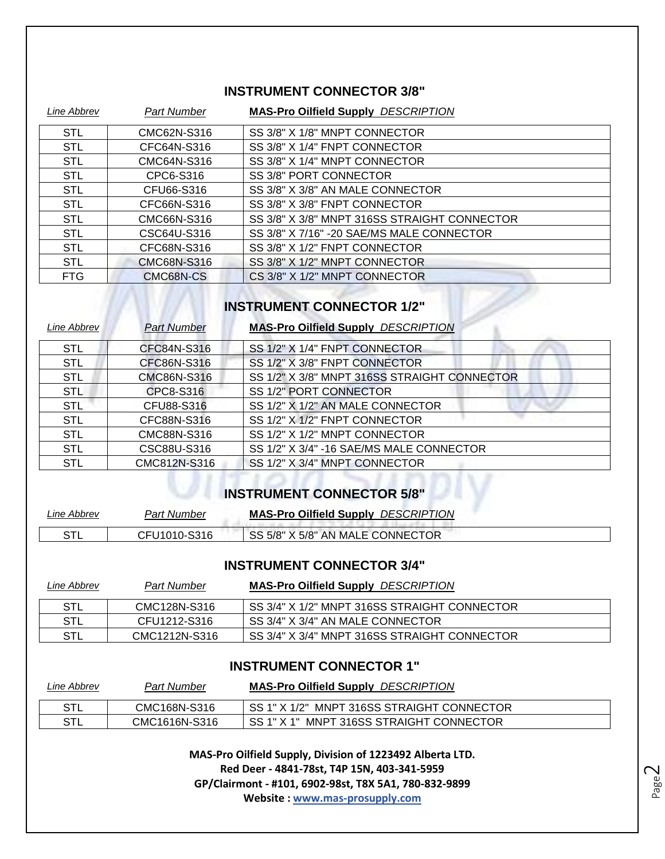#### **INSTRUMENT CONNECTOR 3/8"**

| Line Abbrev | Part Number | <b>MAS-Pro Oilfield Supply DESCRIPTION</b>   |
|-------------|-------------|----------------------------------------------|
| <b>STL</b>  | CMC62N-S316 | SS 3/8" X 1/8" MNPT CONNECTOR                |
| <b>STL</b>  | CFC64N-S316 | SS 3/8" X 1/4" FNPT CONNECTOR                |
| <b>STL</b>  | CMC64N-S316 | SS 3/8" X 1/4" MNPT CONNECTOR                |
| <b>STL</b>  | CPC6-S316   | SS 3/8" PORT CONNECTOR                       |
| <b>STL</b>  | CFU66-S316  | SS 3/8" X 3/8" AN MALE CONNECTOR             |
| <b>STL</b>  | CFC66N-S316 | SS 3/8" X 3/8" FNPT CONNECTOR                |
| <b>STL</b>  | CMC66N-S316 | SS 3/8" X 3/8" MNPT 316SS STRAIGHT CONNECTOR |
| <b>STL</b>  | CSC64U-S316 | SS 3/8" X 7/16" -20 SAE/MS MALE CONNECTOR    |
| <b>STL</b>  | CFC68N-S316 | SS 3/8" X 1/2" FNPT CONNECTOR                |
| <b>STL</b>  | CMC68N-S316 | SS 3/8" X 1/2" MNPT CONNECTOR                |
| <b>FTG</b>  | CMC68N-CS   | CS 3/8" X 1/2" MNPT CONNECTOR                |

## **INSTRUMENT CONNECTOR 1/2"**

| Line Abbrev | <b>Part Number</b> | <b>MAS-Pro Oilfield Supply DESCRIPTION</b>   |
|-------------|--------------------|----------------------------------------------|
| <b>STL</b>  | CFC84N-S316        | SS 1/2" X 1/4" FNPT CONNECTOR                |
| <b>STL</b>  | CFC86N-S316        | SS 1/2" X 3/8" FNPT CONNECTOR                |
| <b>STL</b>  | CMC86N-S316        | SS 1/2" X 3/8" MNPT 316SS STRAIGHT CONNECTOR |
| <b>STL</b>  | CPC8-S316          | SS 1/2" PORT CONNECTOR                       |
| <b>STL</b>  | CFU88-S316         | SS 1/2" X 1/2" AN MALE CONNECTOR             |
| <b>STL</b>  | CFC88N-S316        | SS 1/2" X 1/2" FNPT CONNECTOR                |
| <b>STL</b>  | CMC88N-S316        | SS 1/2" X 1/2" MNPT CONNECTOR                |
| <b>STL</b>  | CSC88U-S316        | SS 1/2" X 3/4" -16 SAE/MS MALE CONNECTOR     |
| <b>STL</b>  | CMC812N-S316       | SS 1/2" X 3/4" MNPT CONNECTOR                |

### **INSTRUMENT CONNECTOR 5/8"**

| ∟ine Abbrev | Part Number  | <b>DESCRIPTION</b><br><b>MAS-Pro Oilfield Supply</b> |  |
|-------------|--------------|------------------------------------------------------|--|
| ודס<br>۱۳   | CFU1010-S316 | SS 5/8" X 5/8" AN MALE CONNECTOR                     |  |

#### **INSTRUMENT CONNECTOR 3/4"**

| Line Abbrev | <b>Part Number</b> | <b>MAS-Pro Oilfield Supply DESCRIPTION</b>    |
|-------------|--------------------|-----------------------------------------------|
| STL         | CMC128N-S316       | 'SS 3/4" X 1/2" MNPT 316SS STRAIGHT CONNECTOR |
| STL         | CFU1212-S316       | SS 3/4" X 3/4" AN MALE CONNECTOR              |
| STL         | CMC1212N-S316      | SS 3/4" X 3/4" MNPT 316SS STRAIGHT CONNECTOR  |

#### **INSTRUMENT CONNECTOR 1"**

| Line Abbrev | <b>Part Number</b> | <b>MAS-Pro Oilfield Supply DESCRIPTION</b>  |
|-------------|--------------------|---------------------------------------------|
| STL         | CMC168N-S316       | ISS 1" X 1/2" MNPT 316SS STRAIGHT CONNECTOR |
| STL         | CMC1616N-S316      | SS 1" X 1" MNPT 316SS STRAIGHT CONNECTOR    |

**MAS-Pro Oilfield Supply, Division of 1223492 Alberta LTD. Red Deer - 4841-78st, T4P 15N, 403-341-5959 GP/Clairmont - #101, 6902-98st, T8X 5A1, 780-832-9899 Website : www.mas-prosupply.com**

Page  $\mathrel{\sim}$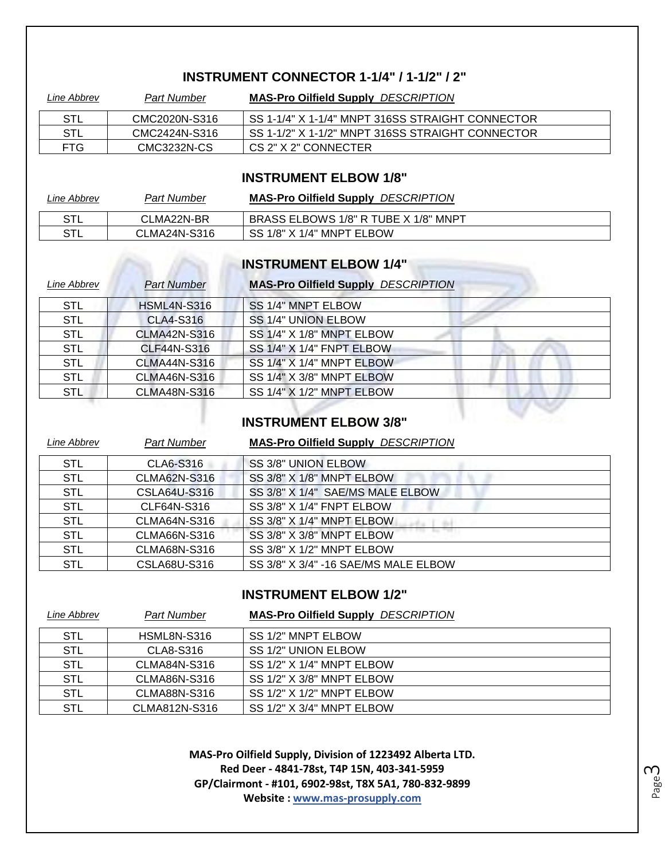#### **INSTRUMENT CONNECTOR 1-1/4" / 1-1/2" / 2"**

| Line Abbrev | <b>Part Number</b> | <b>MAS-Pro Oilfield Supply DESCRIPTION</b>       |
|-------------|--------------------|--------------------------------------------------|
| STL         | CMC2020N-S316      | SS 1-1/4" X 1-1/4" MNPT 316SS STRAIGHT CONNECTOR |
| STL         | CMC2424N-S316      | SS 1-1/2" X 1-1/2" MNPT 316SS STRAIGHT CONNECTOR |
| FTG         | CMC3232N-CS        | CS 2" X 2" CONNECTER                             |

#### **INSTRUMENT ELBOW 1/8"**

| Line Abbrev | <b>Part Number</b> | <b>MAS-Pro Oilfield Supply DESCRIPTION</b> |
|-------------|--------------------|--------------------------------------------|
| STL         | CLMA22N-BR         | BRASS ELBOWS 1/8" R TUBE X 1/8" MNPT       |
| STL         | CLMA24N-S316       | SS 1/8" X 1/4" MNPT ELBOW                  |

### **INSTRUMENT ELBOW 1/4"**

| Line Abbrev | <b>Part Number</b>  | <b>MAS-Pro Oilfield Supply DESCRIPTION</b> |
|-------------|---------------------|--------------------------------------------|
| <b>STL</b>  | <b>HSML4N-S316</b>  | SS 1/4" MNPT ELBOW                         |
| <b>STL</b>  | <b>CLA4-S316</b>    | SS 1/4" UNION ELBOW                        |
| <b>STL</b>  | <b>CLMA42N-S316</b> | SS 1/4" X 1/8" MNPT ELBOW                  |
| <b>STL</b>  | <b>CLF44N-S316</b>  | SS 1/4" X 1/4" FNPT ELBOW                  |
| <b>STL</b>  | <b>CLMA44N-S316</b> | SS 1/4" X 1/4" MNPT ELBOW                  |
| <b>STL</b>  | <b>CLMA46N-S316</b> | SS 1/4" X 3/8" MNPT ELBOW                  |
| <b>STL</b>  | <b>CLMA48N-S316</b> | SS 1/4" X 1/2" MNPT ELBOW                  |
|             |                     |                                            |

#### **INSTRUMENT ELBOW 3/8"**

| Line Abbrev | <b>Part Number</b>  | <b>MAS-Pro Oilfield Supply DESCRIPTION</b> |
|-------------|---------------------|--------------------------------------------|
| <b>STL</b>  | CLA6-S316           | SS 3/8" UNION ELBOW                        |
| <b>STL</b>  | <b>CLMA62N-S316</b> | SS 3/8" X 1/8" MNPT ELBOW                  |
| <b>STL</b>  | CSLA64U-S316        | SS 3/8" X 1/4" SAE/MS MALE ELBOW           |
| <b>STL</b>  | CLF64N-S316         | SS 3/8" X 1/4" FNPT ELBOW                  |
| <b>STL</b>  | CLMA64N-S316        | SS 3/8" X 1/4" MNPT ELBOW                  |
| <b>STL</b>  | CLMA66N-S316        | SS 3/8" X 3/8" MNPT ELBOW                  |
| <b>STL</b>  | CLMA68N-S316        | SS 3/8" X 1/2" MNPT ELBOW                  |
| <b>STL</b>  | CSLA68U-S316        | SS 3/8" X 3/4" -16 SAE/MS MALE ELBOW       |

#### **INSTRUMENT ELBOW 1/2"**

| Line Abbrev | Part Number   | <b>MAS-Pro Oilfield Supply DESCRIPTION</b> |
|-------------|---------------|--------------------------------------------|
| <b>STL</b>  | HSML8N-S316   | SS 1/2" MNPT ELBOW                         |
| <b>STL</b>  | CLA8-S316     | SS 1/2" UNION ELBOW                        |
| <b>STL</b>  | CLMA84N-S316  | SS 1/2" X 1/4" MNPT ELBOW                  |
| <b>STL</b>  | CLMA86N-S316  | SS 1/2" X 3/8" MNPT ELBOW                  |
| <b>STL</b>  | CLMA88N-S316  | SS 1/2" X 1/2" MNPT ELBOW                  |
| <b>STL</b>  | CLMA812N-S316 | SS 1/2" X 3/4" MNPT ELBOW                  |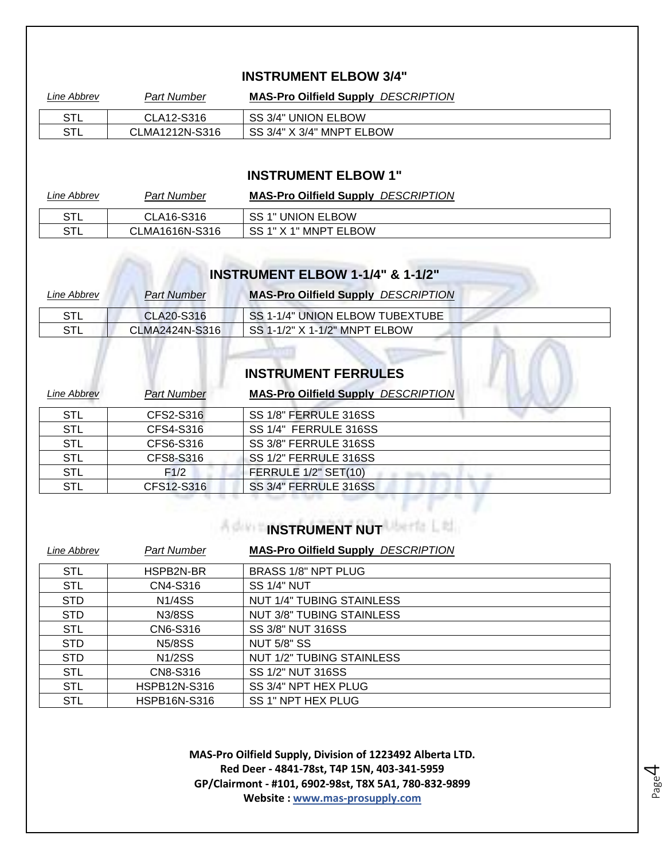#### **INSTRUMENT ELBOW 3/4"**

| Line Abbrev | <b>Part Number</b> | <b>MAS-Pro Oilfield Supply DESCRIPTION</b> |
|-------------|--------------------|--------------------------------------------|
| STL         | CLA12-S316         | SS 3/4" UNION ELBOW                        |
| STL         | CLMA1212N-S316     | SS 3/4" X 3/4" MNPT ELBOW                  |

#### **INSTRUMENT ELBOW 1"**

| Line Abbrev | Part Number    | <b>MAS-Pro Oilfield Supply DESCRIPTION</b> |
|-------------|----------------|--------------------------------------------|
| STL         | CLA16-S316     | SS 1" UNION ELBOW                          |
| STL         | CLMA1616N-S316 | SS 1" X 1" MNPT ELBOW                      |

#### **INSTRUMENT ELBOW 1-1/4" & 1-1/2"**

| <i>Line Abbrev</i> | <b>Part Number</b> | <b>MAS-Pro Oilfield Supply DESCRIPTION</b> |
|--------------------|--------------------|--------------------------------------------|
| STL                | CLA20-S316         | SS 1-1/4" UNION ELBOW TUBEXTUBE            |
| STL                | CLMA2424N-S316     | SS 1-1/2" X 1-1/2" MNPT ELBOW              |

## **INSTRUMENT FERRULES**

| Line Abbrev | <b>Part Number</b> | <b>MAS-Pro Oilfield Supply DESCRIPTION</b> |
|-------------|--------------------|--------------------------------------------|
| <b>STL</b>  | CFS2-S316          | SS 1/8" FERRULE 316SS                      |
| <b>STL</b>  | CFS4-S316          | SS 1/4" FERRULE 316SS                      |
| <b>STL</b>  | CFS6-S316          | SS 3/8" FERRULE 316SS                      |
| <b>STL</b>  | CFS8-S316          | SS 1/2" FERRULE 316SS                      |
| <b>STL</b>  | F1/2               | FERRULE 1/2" SET(10)                       |
| STL         | CFS12-S316         | SS 3/4" FERRULE 316SS                      |

#### **INSTRUMENT NUT**

| Line Abbrev | <b>Part Number</b>  | <b>MAS-Pro Oilfield Supply DESCRIPTION</b> |
|-------------|---------------------|--------------------------------------------|
| <b>STL</b>  | HSPB2N-BR           | BRASS 1/8" NPT PLUG                        |
| <b>STL</b>  | CN4-S316            | <b>SS 1/4" NUT</b>                         |
| <b>STD</b>  | <b>N1/4SS</b>       | <b>NUT 1/4" TUBING STAINLESS</b>           |
| <b>STD</b>  | <b>N3/8SS</b>       | <b>NUT 3/8" TUBING STAINLESS</b>           |
| <b>STL</b>  | CN6-S316            | SS 3/8" NUT 316SS                          |
| <b>STD</b>  | <b>N5/8SS</b>       | <b>NUT 5/8" SS</b>                         |
| <b>STD</b>  | <b>N1/2SS</b>       | <b>NUT 1/2" TUBING STAINLESS</b>           |
| <b>STL</b>  | CN8-S316            | SS 1/2" NUT 316SS                          |
| <b>STL</b>  | <b>HSPB12N-S316</b> | SS 3/4" NPT HEX PLUG                       |
| <b>STL</b>  | <b>HSPB16N-S316</b> | SS 1" NPT HEX PLUG                         |

**MAS-Pro Oilfield Supply, Division of 1223492 Alberta LTD. Red Deer - 4841-78st, T4P 15N, 403-341-5959 GP/Clairmont - #101, 6902-98st, T8X 5A1, 780-832-9899 Website : www.mas-prosupply.com**

Page 4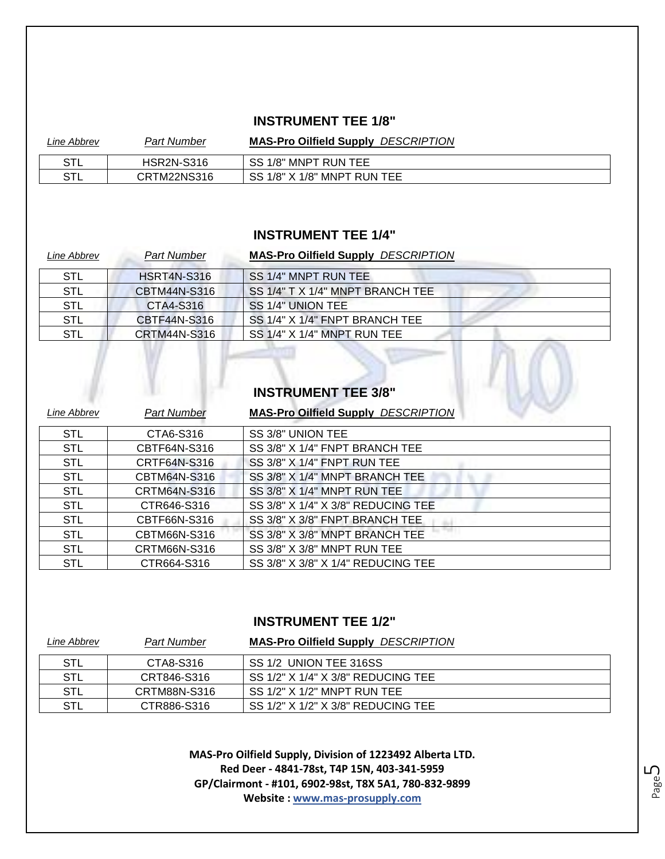#### **INSTRUMENT TEE 1/8"**

| Line Abbrev | Part Number       | <b>MAS-Pro Oilfield Supply DESCRIPTION</b>           |
|-------------|-------------------|------------------------------------------------------|
| STL         | <b>HSR2N-S316</b> | SS 1/8" MNPT RUN TEE                                 |
| STL         | CRTM22NS316       | $\overline{\phantom{a}}$ SS 1/8" X 1/8" MNPT RUN TEE |

#### **INSTRUMENT TEE 1/4"**

| Line Abbrev | <b>Part Number</b>  | <b>MAS-Pro Oilfield Supply DESCRIPTION</b> |
|-------------|---------------------|--------------------------------------------|
| STL         | <b>HSRT4N-S316</b>  | SS 1/4" MNPT RUN TEE                       |
| <b>STL</b>  | CBTM44N-S316        | SS 1/4" T X 1/4" MNPT BRANCH TEE           |
| <b>STL</b>  | CTA4-S316           | SS 1/4" UNION TEE                          |
| <b>STL</b>  | CBTF44N-S316        | SS 1/4" X 1/4" FNPT BRANCH TEE             |
| STL         | <b>CRTM44N-S316</b> | SS 1/4" X 1/4" MNPT RUN TEE                |

# **INSTRUMENT TEE 3/8"**

| Line Abbrev | <b>Part Number</b> | <b>MAS-Pro Oilfield Supply DESCRIPTION</b> |
|-------------|--------------------|--------------------------------------------|
| <b>STL</b>  | CTA6-S316          | SS 3/8" UNION TEE                          |
| <b>STL</b>  | CBTF64N-S316       | SS 3/8" X 1/4" FNPT BRANCH TEE             |
| <b>STL</b>  | CRTF64N-S316       | SS 3/8" X 1/4" FNPT RUN TEE                |
| <b>STL</b>  | CBTM64N-S316       | SS 3/8" X 1/4" MNPT BRANCH TEE             |
| <b>STL</b>  | CRTM64N-S316       | SS 3/8" X 1/4" MNPT RUN TEE                |
| <b>STL</b>  | CTR646-S316        | SS 3/8" X 1/4" X 3/8" REDUCING TEE         |
| <b>STL</b>  | CBTF66N-S316       | SS 3/8" X 3/8" FNPT BRANCH TEE             |
| <b>STL</b>  | CBTM66N-S316       | SS 3/8" X 3/8" MNPT BRANCH TEE             |
| <b>STL</b>  | CRTM66N-S316       | SS 3/8" X 3/8" MNPT RUN TEE                |
| <b>STL</b>  | CTR664-S316        | SS 3/8" X 3/8" X 1/4" REDUCING TEE         |

#### **INSTRUMENT TEE 1/2"**

| <i>Line Abbrev</i> | <b>Part Number</b> | <b>MAS-Pro Oilfield Supply DESCRIPTION</b> |
|--------------------|--------------------|--------------------------------------------|
| STL                | CTA8-S316          | SS 1/2 UNION TEE 316SS                     |
| STL                | CRT846-S316        | SS 1/2" X 1/4" X 3/8" REDUCING TEE         |
| STL                | CRTM88N-S316       | $SS 1/2"$ X $1/2"$ MNPT RUN TEE            |
| STL                | CTR886-S316        | SS 1/2" X 1/2" X 3/8" REDUCING TEE         |

**MAS-Pro Oilfield Supply, Division of 1223492 Alberta LTD. Red Deer - 4841-78st, T4P 15N, 403-341-5959 GP/Clairmont - #101, 6902-98st, T8X 5A1, 780-832-9899 Website : www.mas-prosupply.com**

 $\mathcal{U}(\cdot)$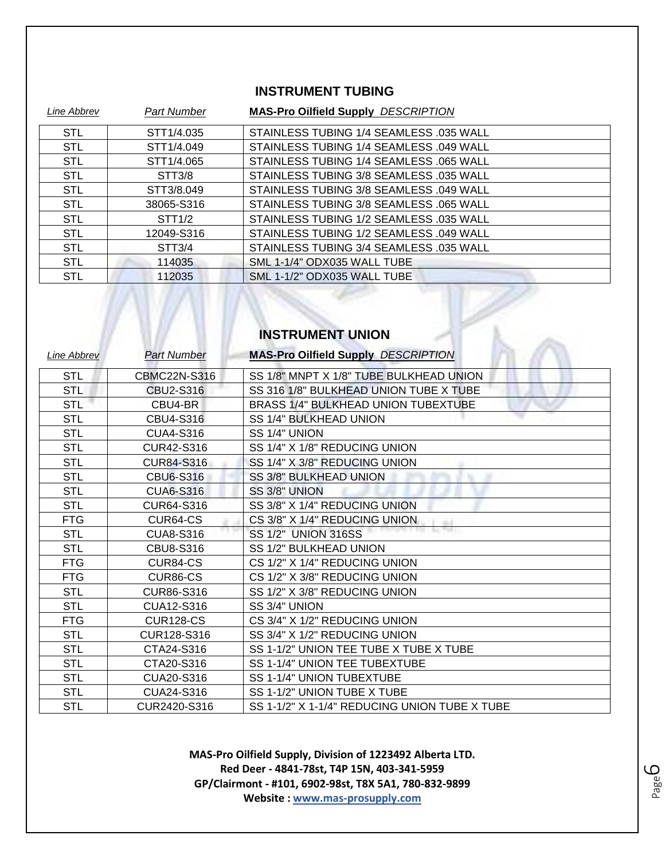#### **INSTRUMENT TUBING**

| Line Abbrev | Part Number         | <b>MAS-Pro Oilfield Supply DESCRIPTION</b> |
|-------------|---------------------|--------------------------------------------|
| <b>STL</b>  | STT1/4.035          | STAINLESS TUBING 1/4 SEAMLESS .035 WALL    |
| <b>STL</b>  | STT1/4.049          | STAINLESS TUBING 1/4 SEAMLESS .049 WALL    |
| <b>STL</b>  | STT1/4.065          | STAINLESS TUBING 1/4 SEAMLESS .065 WALL    |
| <b>STL</b>  | STT <sub>3</sub> /8 | STAINLESS TUBING 3/8 SEAMLESS .035 WALL    |
| <b>STL</b>  | STT3/8.049          | STAINLESS TUBING 3/8 SEAMLESS .049 WALL    |
| <b>STL</b>  | 38065-S316          | STAINLESS TUBING 3/8 SEAMLESS .065 WALL    |
| <b>STL</b>  | STT1/2              | STAINLESS TUBING 1/2 SEAMLESS .035 WALL    |
| <b>STL</b>  | 12049-S316          | STAINLESS TUBING 1/2 SEAMLESS .049 WALL    |
| <b>STL</b>  | STT <sub>3</sub> /4 | STAINLESS TUBING 3/4 SEAMLESS .035 WALL    |
| <b>STL</b>  | 114035              | SML 1-1/4" ODX035 WALL TUBE                |
| <b>STL</b>  | 112035              | SML 1-1/2" ODX035 WALL TUBE                |

#### **INSTRUMENT UNION**

 $\langle$ .

| Line Abbrev | <b>Part Number</b> | <b>MAS-Pro Oilfield Supply DESCRIPTION</b>    |
|-------------|--------------------|-----------------------------------------------|
| <b>STL</b>  | CBMC22N-S316       | SS 1/8" MNPT X 1/8" TUBE BULKHEAD UNION       |
| <b>STL</b>  | CBU2-S316          | SS 316 1/8" BULKHEAD UNION TUBE X TUBE        |
| <b>STL</b>  | CBU4-BR            | BRASS 1/4" BULKHEAD UNION TUBEXTUBE           |
| <b>STL</b>  | CBU4-S316          | SS 1/4" BULKHEAD UNION                        |
| <b>STL</b>  | <b>CUA4-S316</b>   | SS 1/4" UNION                                 |
| <b>STL</b>  | CUR42-S316         | SS 1/4" X 1/8" REDUCING UNION                 |
| <b>STL</b>  | <b>CUR84-S316</b>  | SS 1/4" X 3/8" REDUCING UNION                 |
| <b>STL</b>  | <b>CBU6-S316</b>   | SS 3/8" BULKHEAD UNION                        |
| <b>STL</b>  | <b>CUA6-S316</b>   | SS 3/8" UNION                                 |
| <b>STL</b>  | CUR64-S316         | SS 3/8" X 1/4" REDUCING UNION                 |
| <b>FTG</b>  | CUR64-CS           | CS 3/8" X 1/4" REDUCING UNION                 |
| <b>STL</b>  | <b>CUA8-S316</b>   | <b>SS 1/2" UNION 316SS</b>                    |
| <b>STL</b>  | CBU8-S316          | SS 1/2" BULKHEAD UNION                        |
| <b>FTG</b>  | CUR84-CS           | CS 1/2" X 1/4" REDUCING UNION                 |
| <b>FTG</b>  | CUR86-CS           | CS 1/2" X 3/8" REDUCING UNION                 |
| <b>STL</b>  | CUR86-S316         | SS 1/2" X 3/8" REDUCING UNION                 |
| <b>STL</b>  | CUA12-S316         | SS 3/4" UNION                                 |
| <b>FTG</b>  | <b>CUR128-CS</b>   | CS 3/4" X 1/2" REDUCING UNION                 |
| <b>STL</b>  | CUR128-S316        | SS 3/4" X 1/2" REDUCING UNION                 |
| <b>STL</b>  | CTA24-S316         | SS 1-1/2" UNION TEE TUBE X TUBE X TUBE        |
| <b>STL</b>  | CTA20-S316         | SS 1-1/4" UNION TEE TUBEXTUBE                 |
| <b>STL</b>  | CUA20-S316         | SS 1-1/4" UNION TUBEXTUBE                     |
| <b>STL</b>  | CUA24-S316         | SS 1-1/2" UNION TUBE X TUBE                   |
| <b>STL</b>  | CUR2420-S316       | SS 1-1/2" X 1-1/4" REDUCING UNION TUBE X TUBE |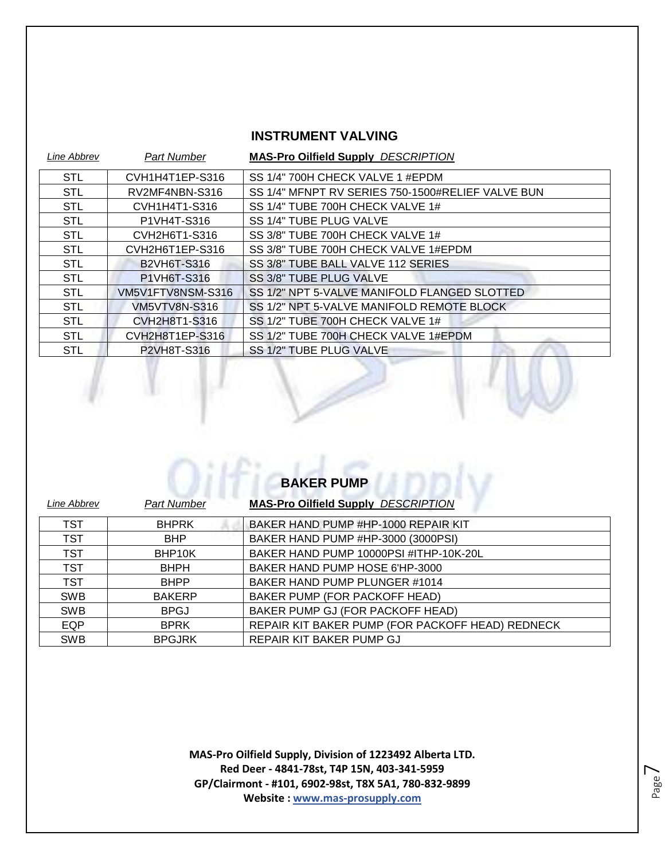#### **INSTRUMENT VALVING**

| Line Abbrev | <b>Part Number</b>   | <b>MAS-Pro Oilfield Supply DESCRIPTION</b>        |
|-------------|----------------------|---------------------------------------------------|
| <b>STL</b>  | CVH1H4T1EP-S316      | SS 1/4" 700H CHECK VALVE 1 #EPDM                  |
| <b>STL</b>  | RV2MF4NBN-S316       | SS 1/4" MFNPT RV SERIES 750-1500#RELIEF VALVE BUN |
| <b>STL</b>  | CVH1H4T1-S316        | SS 1/4" TUBE 700H CHECK VALVE 1#                  |
| <b>STL</b>  | P1VH4T-S316          | SS 1/4" TUBE PLUG VALVE                           |
| <b>STL</b>  | CVH2H6T1-S316        | SS 3/8" TUBE 700H CHECK VALVE 1#                  |
| <b>STL</b>  | CVH2H6T1EP-S316      | SS 3/8" TUBE 700H CHECK VALVE 1#EPDM              |
| <b>STL</b>  | <b>B2VH6T-S316</b>   | SS 3/8" TUBE BALL VALVE 112 SERIES                |
| <b>STL</b>  | P1VH6T-S316          | SS 3/8" TUBE PLUG VALVE                           |
| <b>STL</b>  | VM5V1FTV8NSM-S316    | SS 1/2" NPT 5-VALVE MANIFOLD FLANGED SLOTTED      |
| <b>STL</b>  | <b>VM5VTV8N-S316</b> | SS 1/2" NPT 5-VALVE MANIFOLD REMOTE BLOCK         |
| <b>STL</b>  | CVH2H8T1-S316        | SS 1/2" TUBE 700H CHECK VALVE 1#                  |
| <b>STL</b>  | CVH2H8T1EP-S316      | SS 1/2" TUBE 700H CHECK VALVE 1#EPDM              |
| <b>STL</b>  | P2VH8T-S316          | SS 1/2" TUBE PLUG VALVE                           |

 $\sqrt{1}$ 

|             |                     | <b>BAKER PUMP</b>                                |
|-------------|---------------------|--------------------------------------------------|
| Line Abbrev | <b>Part Number</b>  | <b>MAS-Pro Oilfield Supply DESCRIPTION</b>       |
| <b>TST</b>  | <b>BHPRK</b>        | BAKER HAND PUMP #HP-1000 REPAIR KIT              |
| TST         | <b>BHP</b>          | BAKER HAND PUMP #HP-3000 (3000PSI)               |
| <b>TST</b>  | BHP <sub>10</sub> K | BAKER HAND PUMP 10000PSI #ITHP-10K-20L           |
| <b>TST</b>  | <b>BHPH</b>         | BAKER HAND PUMP HOSE 6'HP-3000                   |
| <b>TST</b>  | <b>BHPP</b>         | BAKER HAND PUMP PLUNGER #1014                    |
| <b>SWB</b>  | <b>BAKERP</b>       | BAKER PUMP (FOR PACKOFF HEAD)                    |
| <b>SWB</b>  | <b>BPGJ</b>         | BAKER PUMP GJ (FOR PACKOFF HEAD)                 |
| EQP         | <b>BPRK</b>         | REPAIR KIT BAKER PUMP (FOR PACKOFF HEAD) REDNECK |
| <b>SWB</b>  | <b>BPGJRK</b>       | REPAIR KIT BAKER PUMP GJ                         |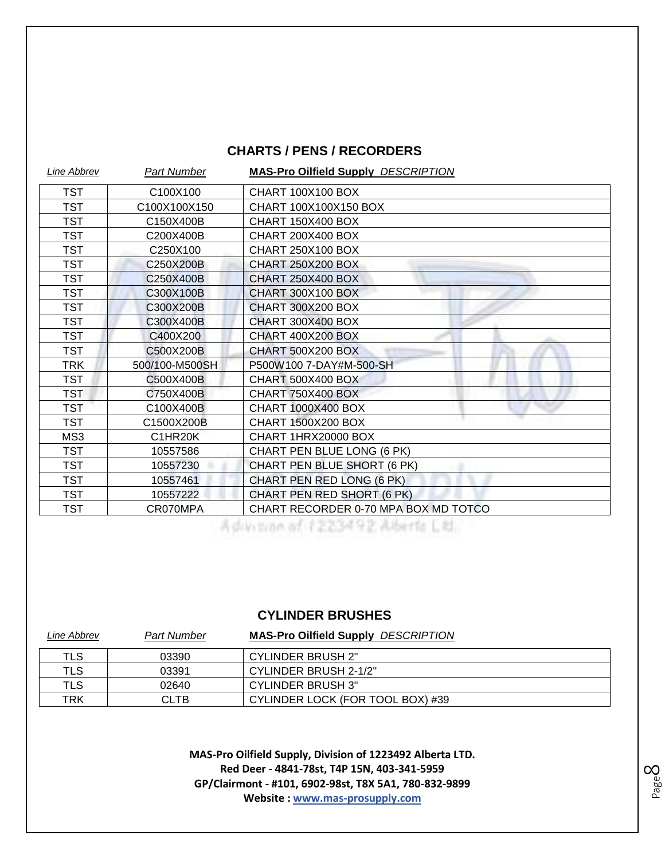#### **CHARTS / PENS / RECORDERS**

| Line Abbrev | <b>Part Number</b> | <b>MAS-Pro Oilfield Supply DESCRIPTION</b> |
|-------------|--------------------|--------------------------------------------|
| <b>TST</b>  | C100X100           | <b>CHART 100X100 BOX</b>                   |
| <b>TST</b>  | C100X100X150       | CHART 100X100X150 BOX                      |
| <b>TST</b>  | C150X400B          | <b>CHART 150X400 BOX</b>                   |
| <b>TST</b>  | C200X400B          | <b>CHART 200X400 BOX</b>                   |
| <b>TST</b>  | C250X100           | <b>CHART 250X100 BOX</b>                   |
| <b>TST</b>  | C250X200B          | <b>CHART 250X200 BOX</b>                   |
| <b>TST</b>  | C250X400B          | <b>CHART 250X400 BOX</b>                   |
| <b>TST</b>  | C300X100B          | <b>CHART 300X100 BOX</b>                   |
| <b>TST</b>  | C300X200B          | <b>CHART 300X200 BOX</b>                   |
| <b>TST</b>  | C300X400B          | <b>CHART 300X400 BOX</b>                   |
| <b>TST</b>  | C400X200           | <b>CHART 400X200 BOX</b>                   |
| <b>TST</b>  | C500X200B          | <b>CHART 500X200 BOX</b>                   |
| TRK         | 500/100-M500SH     | P500W100 7-DAY#M-500-SH                    |
| <b>TST</b>  | C500X400B          | <b>CHART 500X400 BOX</b>                   |
| <b>TST</b>  | C750X400B          | <b>CHART 750X400 BOX</b>                   |
| <b>TST</b>  | C100X400B          | CHART 1000X400 BOX                         |
| <b>TST</b>  | C1500X200B         | <b>CHART 1500X200 BOX</b>                  |
| MS3         | C1HR20K            | CHART 1HRX20000 BOX                        |
| <b>TST</b>  | 10557586           | CHART PEN BLUE LONG (6 PK)                 |
| <b>TST</b>  | 10557230           | CHART PEN BLUE SHORT (6 PK)                |
| <b>TST</b>  | 10557461           | CHART PEN RED LONG (6 PK)                  |
| <b>TST</b>  | 10557222           | CHART PEN RED SHORT (6 PK)                 |
| <b>TST</b>  | CR070MPA           | CHART RECORDER 0-70 MPA BOX MD TOTCO       |

A division of 1223492 Alberta Ltd.

#### **CYLINDER BRUSHES**

| Line Abbrev | Part Number | <b>MAS-Pro Oilfield Supply DESCRIPTION</b> |
|-------------|-------------|--------------------------------------------|
| TLS         | 03390       | <b>CYLINDER BRUSH 2"</b>                   |
| TLS         | 03391       | CYLINDER BRUSH 2-1/2"                      |
| TLS         | 02640       | <b>CYLINDER BRUSH 3"</b>                   |
| TRK         | CLTB        | CYLINDER LOCK (FOR TOOL BOX) #39           |

**MAS-Pro Oilfield Supply, Division of 1223492 Alberta LTD. Red Deer - 4841-78st, T4P 15N, 403-341-5959 GP/Clairmont - #101, 6902-98st, T8X 5A1, 780-832-9899 Website : www.mas-prosupply.com**

Page  $\infty$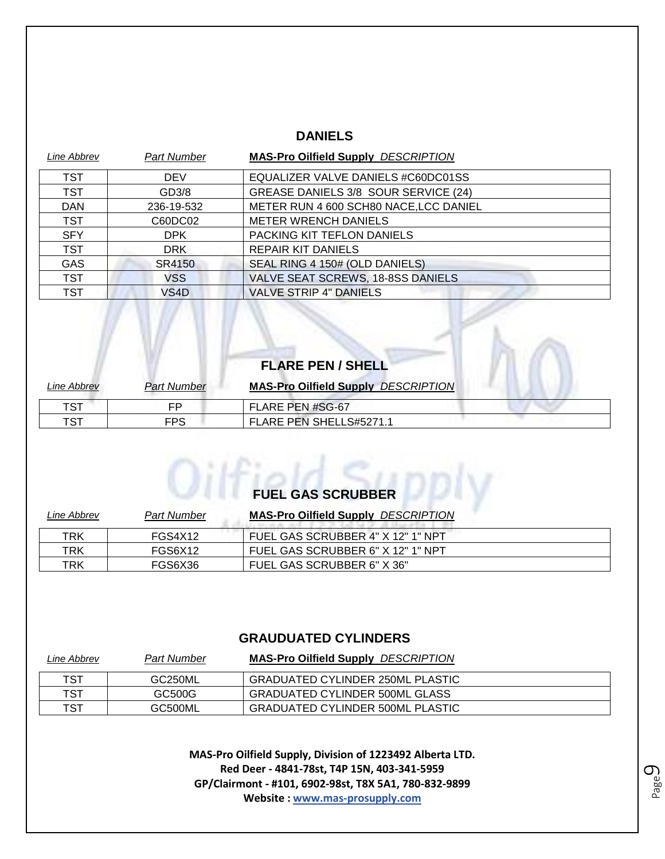#### **DANIELS**

| Line Abbrev | Part Number | <b>MAS-Pro Oilfield Supply DESCRIPTION</b> |
|-------------|-------------|--------------------------------------------|
| <b>TST</b>  | <b>DEV</b>  | EQUALIZER VALVE DANIELS #C60DC01SS         |
| <b>TST</b>  | GD3/8       | GREASE DANIELS 3/8 SOUR SERVICE (24)       |
| <b>DAN</b>  | 236-19-532  | METER RUN 4 600 SCH80 NACE, LCC DANIEL     |
| <b>TST</b>  | C60DC02     | <b>METER WRENCH DANIELS</b>                |
| <b>SFY</b>  | DPK         | PACKING KIT TEFLON DANIELS                 |
| <b>TST</b>  | <b>DRK</b>  | <b>REPAIR KIT DANIELS</b>                  |
| <b>GAS</b>  | SR4150      | SEAL RING 4 150# (OLD DANIELS)             |
| <b>TST</b>  | VSS         | VALVE SEAT SCREWS, 18-8SS DANIELS          |
| <b>TST</b>  | VS4D        | <b>VALVE STRIP 4" DANIELS</b>              |

|             |                    | <b>FLARE PEN / SHELL</b>                   |  |
|-------------|--------------------|--------------------------------------------|--|
| Line Abbrev | <b>Part Number</b> | <b>MAS-Pro Oilfield Supply DESCRIPTION</b> |  |
| TST         | FP                 | FLARE PEN #SG-67                           |  |
| TST         | <b>FPS</b>         | FLARE PEN SHELLS#5271.1                    |  |

# **FUEL GAS SCRUBBER**

| Line Abbrev | <b>Part Number</b> | <b>MAS-Pro Oilfield Supply DESCRIPTION</b> |
|-------------|--------------------|--------------------------------------------|
| <b>TRK</b>  | FGS4X12            | FUEL GAS SCRUBBER 4" X 12" 1" NPT          |
| TRK         | FGS6X12            | FUEL GAS SCRUBBER 6" X 12" 1" NPT          |
| TRK         | FGS6X36            | FUEL GAS SCRUBBER 6" X 36"                 |

#### **GRAUDUATED CYLINDERS**

| Line Abbrev | <b>Part Number</b>   | <b>MAS-Pro Oilfield Supply DESCRIPTION</b> |
|-------------|----------------------|--------------------------------------------|
| TST         | GC <sub>250</sub> ML | GRADUATED CYLINDER 250ML PLASTIC           |
| TST         | GC500G               | <b>GRADUATED CYLINDER 500ML GLASS</b>      |
| TST         | GC500ML              | <b>GRADUATED CYLINDER 500ML PLASTIC</b>    |

**MAS-Pro Oilfield Supply, Division of 1223492 Alberta LTD. Red Deer - 4841-78st, T4P 15N, 403-341-5959 GP/Clairmont - #101, 6902-98st, T8X 5A1, 780-832-9899 Website : www.mas-prosupply.com**

Page  $\mathcal O$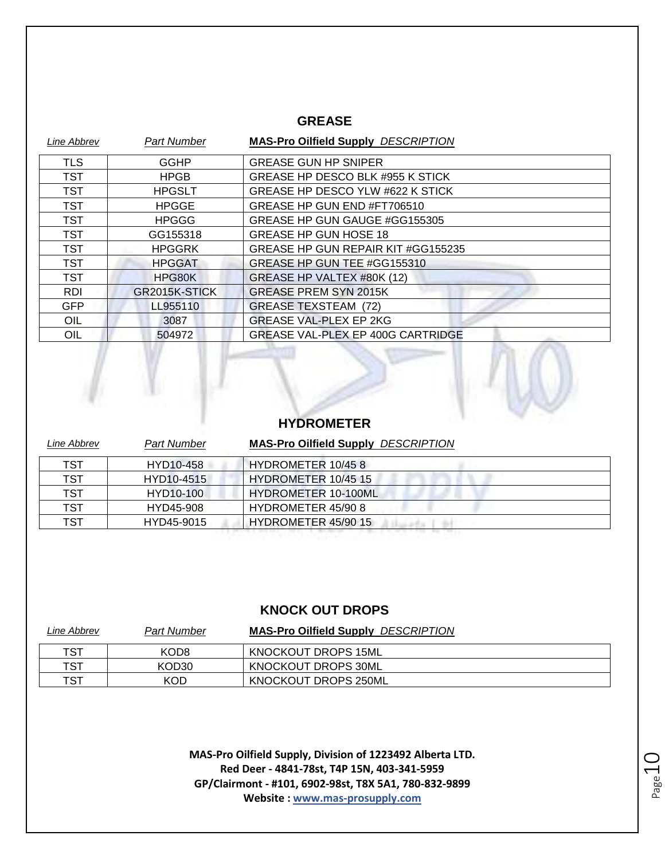#### **GREASE**

| Line Abbrev | <b>Part Number</b> | <b>MAS-Pro Oilfield Supply DESCRIPTION</b> |
|-------------|--------------------|--------------------------------------------|
| <b>TLS</b>  | <b>GGHP</b>        | <b>GREASE GUN HP SNIPER</b>                |
| <b>TST</b>  | <b>HPGB</b>        | GREASE HP DESCO BLK #955 K STICK           |
| <b>TST</b>  | <b>HPGSLT</b>      | GREASE HP DESCO YLW #622 K STICK           |
| <b>TST</b>  | <b>HPGGE</b>       | GREASE HP GUN END #FT706510                |
| <b>TST</b>  | <b>HPGGG</b>       | GREASE HP GUN GAUGE #GG155305              |
| <b>TST</b>  | GG155318           | <b>GREASE HP GUN HOSE 18</b>               |
| <b>TST</b>  | <b>HPGGRK</b>      | GREASE HP GUN REPAIR KIT #GG155235         |
| <b>TST</b>  | <b>HPGGAT</b>      | GREASE HP GUN TEE #GG155310                |
| <b>TST</b>  | HPG80K             | GREASE HP VALTEX #80K (12)                 |
| <b>RDI</b>  | GR2015K-STICK      | <b>GREASE PREM SYN 2015K</b>               |
| <b>GFP</b>  | LL955110           | <b>GREASE TEXSTEAM (72)</b>                |
| OIL         | 3087               | <b>GREASE VAL-PLEX EP 2KG</b>              |
| OIL         | 504972             | GREASE VAL-PLEX EP 400G CARTRIDGE          |



#### **HYDROMETER** *Line Abbrev Part Number* **MAS-Pro Oilfield Supply** *DESCRIPTION*

| TST | HYD10-458  | HYDROMETER 10/458          |
|-----|------------|----------------------------|
| TST | HYD10-4515 | HYDROMETER 10/45 15        |
| TST | HYD10-100  | <b>HYDROMETER 10-100ML</b> |
| TST | HYD45-908  | HYDROMETER 45/90 8         |
| TST | HYD45-9015 | HYDROMETER 45/90 15        |
|     |            |                            |

#### **KNOCK OUT DROPS**

| Line Abbrev | Part Number | <b>MAS-Pro Oilfield Supply DESCRIPTION</b> |
|-------------|-------------|--------------------------------------------|
| TST         | KOD8        | KNOCKOUT DROPS 15ML                        |
| TST         | KOD30       | KNOCKOUT DROPS 30ML                        |
| TST         | <b>KOD</b>  | <b>KNOCKOUT DROPS 250ML</b>                |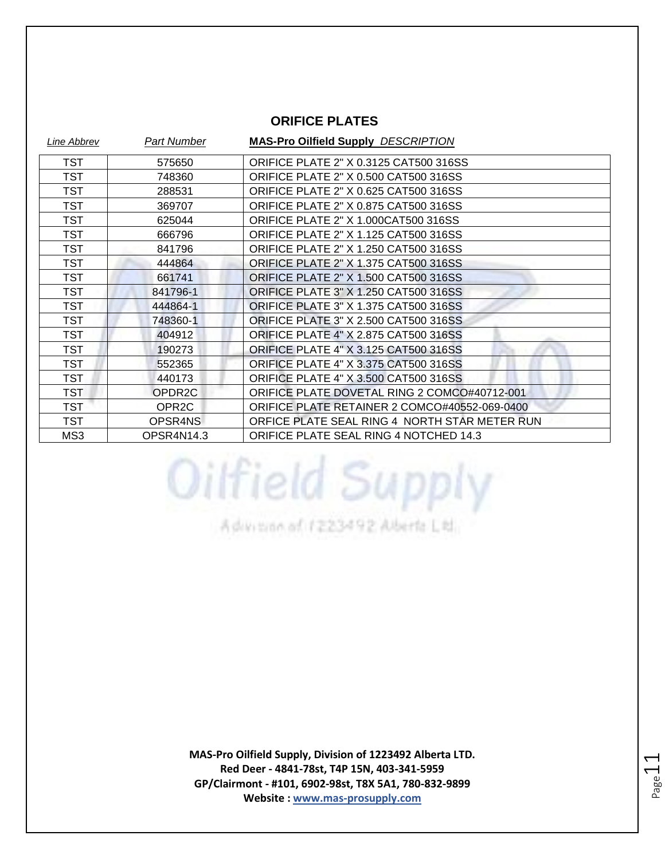#### **ORIFICE PLATES**

| Line Abbrev | <b>Part Number</b>  | <b>MAS-Pro Oilfield Supply DESCRIPTION</b>    |
|-------------|---------------------|-----------------------------------------------|
| TST         | 575650              | ORIFICE PLATE 2" X 0.3125 CAT500 316SS        |
| <b>TST</b>  | 748360              | <b>ORIFICE PLATE 2" X 0.500 CAT500 316SS</b>  |
| <b>TST</b>  | 288531              | <b>ORIFICE PLATE 2" X 0.625 CAT500 316SS</b>  |
| <b>TST</b>  | 369707              | <b>ORIFICE PLATE 2" X 0.875 CAT500 316SS</b>  |
| <b>TST</b>  | 625044              | ORIFICE PLATE 2" X 1.000CAT500 316SS          |
| TST         | 666796              | ORIFICE PLATE 2" X 1.125 CAT500 316SS         |
| <b>TST</b>  | 841796              | <b>ORIFICE PLATE 2" X 1.250 CAT500 316SS</b>  |
| <b>TST</b>  | 444864              | <b>ORIFICE PLATE 2" X 1.375 CAT500 316SS</b>  |
| TST         | 661741              | <b>ORIFICE PLATE 2" X 1.500 CAT500 316SS</b>  |
| <b>TST</b>  | 841796-1            | <b>ORIFICE PLATE 3" X 1.250 CAT500 316SS</b>  |
| <b>TST</b>  | 444864-1            | <b>ORIFICE PLATE 3" X 1.375 CAT500 316SS</b>  |
| <b>TST</b>  | 748360-1            | ORIFICE PLATE 3" X 2.500 CAT500 316SS         |
| <b>TST</b>  | 404912              | <b>ORIFICE PLATE 4" X 2.875 CAT500 316SS</b>  |
| <b>TST</b>  | 190273              | <b>ORIFICE PLATE 4" X 3.125 CAT500 316SS</b>  |
| <b>TST</b>  | 552365              | <b>ORIFICE PLATE 4" X 3.375 CAT500 316SS</b>  |
| <b>TST</b>  | 440173              | <b>ORIFICE PLATE 4" X 3.500 CAT500 316SS</b>  |
| <b>TST</b>  | OPDR <sub>2</sub> C | ORIFICE PLATE DOVETAL RING 2 COMCO#40712-001  |
| <b>TST</b>  | OPR <sub>2C</sub>   | ORIFICE PLATE RETAINER 2 COMCO#40552-069-0400 |
| <b>TST</b>  | OPSR4NS             | ORFICE PLATE SEAL RING 4 NORTH STAR METER RUN |
| MS3         | OPSR4N14.3          | ORIFICE PLATE SEAL RING 4 NOTCHED 14.3        |

Advision of 1223492 Alberta Ltd.

Oilfield Supply

**MAS-Pro Oilfield Supply, Division of 1223492 Alberta LTD. Red Deer - 4841-78st, T4P 15N, 403-341-5959 GP/Clairmont - #101, 6902-98st, T8X 5A1, 780-832-9899 Website : www.mas-prosupply.com**

Page 11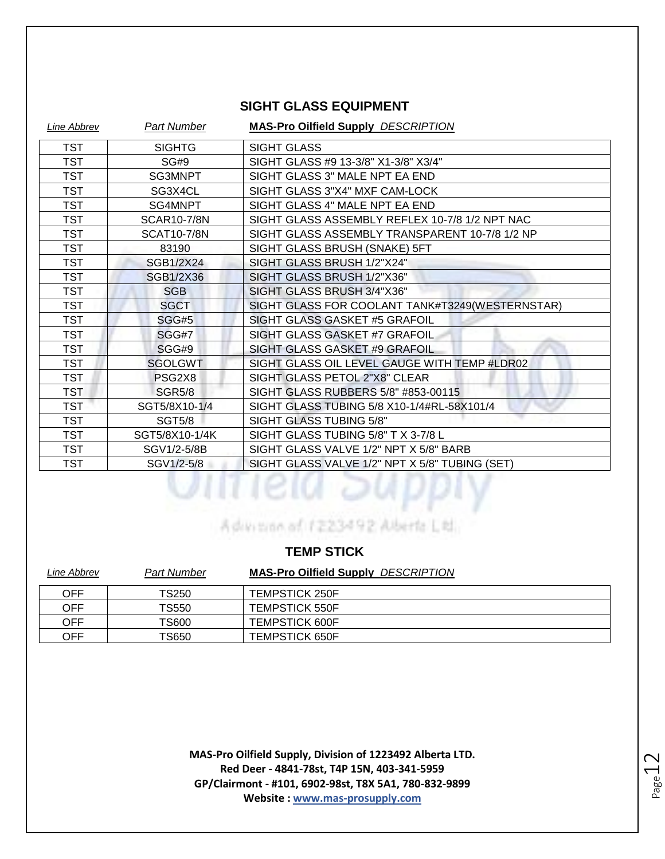#### **SIGHT GLASS EQUIPMENT**

| Line Abbrev | <b>Part Number</b> | <b>MAS-Pro Oilfield Supply DESCRIPTION</b>      |
|-------------|--------------------|-------------------------------------------------|
| TST         | <b>SIGHTG</b>      | <b>SIGHT GLASS</b>                              |
| TST         | SG#9               | SIGHT GLASS #9 13-3/8" X1-3/8" X3/4"            |
| <b>TST</b>  | SG3MNPT            | SIGHT GLASS 3" MALE NPT EA END                  |
| <b>TST</b>  | SG3X4CL            | SIGHT GLASS 3"X4" MXF CAM-LOCK                  |
| TST         | SG4MNPT            | SIGHT GLASS 4" MALE NPT EA END                  |
| TST         | <b>SCAR10-7/8N</b> | SIGHT GLASS ASSEMBLY REFLEX 10-7/8 1/2 NPT NAC  |
| <b>TST</b>  | <b>SCAT10-7/8N</b> | SIGHT GLASS ASSEMBLY TRANSPARENT 10-7/8 1/2 NP  |
| TST         | 83190              | SIGHT GLASS BRUSH (SNAKE) 5FT                   |
| TST         | SGB1/2X24          | SIGHT GLASS BRUSH 1/2"X24"                      |
| <b>TST</b>  | SGB1/2X36          | SIGHT GLASS BRUSH 1/2"X36"                      |
| <b>TST</b>  | <b>SGB</b>         | SIGHT GLASS BRUSH 3/4"X36"                      |
| <b>TST</b>  | <b>SGCT</b>        | SIGHT GLASS FOR COOLANT TANK#T3249(WESTERNSTAR) |
| <b>TST</b>  | SGG#5              | SIGHT GLASS GASKET #5 GRAFOIL                   |
| TST         | SGG#7              | SIGHT GLASS GASKET #7 GRAFOIL                   |
| <b>TST</b>  | SGG#9              | SIGHT GLASS GASKET #9 GRAFOIL                   |
| <b>TST</b>  | <b>SGOLGWT</b>     | SIGHT GLASS OIL LEVEL GAUGE WITH TEMP #LDR02    |
| TST         | PSG2X8             | SIGHT GLASS PETOL 2"X8" CLEAR                   |
| <b>TST</b>  | <b>SGR5/8</b>      | SIGHT GLASS RUBBERS 5/8" #853-00115             |
| <b>TST</b>  | SGT5/8X10-1/4      | SIGHT GLASS TUBING 5/8 X10-1/4#RL-58X101/4      |
| <b>TST</b>  | <b>SGT5/8</b>      | SIGHT GLASS TUBING 5/8"                         |
| TST         | SGT5/8X10-1/4K     | SIGHT GLASS TUBING 5/8" T X 3-7/8 L             |
| TST         | SGV1/2-5/8B        | SIGHT GLASS VALVE 1/2" NPT X 5/8" BARB          |
| TST         | SGV1/2-5/8         | SIGHT GLASS VALVE 1/2" NPT X 5/8" TUBING (SET)  |
|             |                    |                                                 |

A division of 1223492 Alberta Little

#### **TEMP STICK**

| Line Abbrev | <b>Part Number</b> | <b>MAS-Pro Oilfield Supply DESCRIPTION</b> |
|-------------|--------------------|--------------------------------------------|
| OFF         | TS250              | <b>TEMPSTICK 250F</b>                      |
| OFF         | TS550              | <b>TEMPSTICK 550F</b>                      |
| OFF         | TS600              | <b>TEMPSTICK 600F</b>                      |
| OFF         | TS650              | <b>TEMPSTICK 650F</b>                      |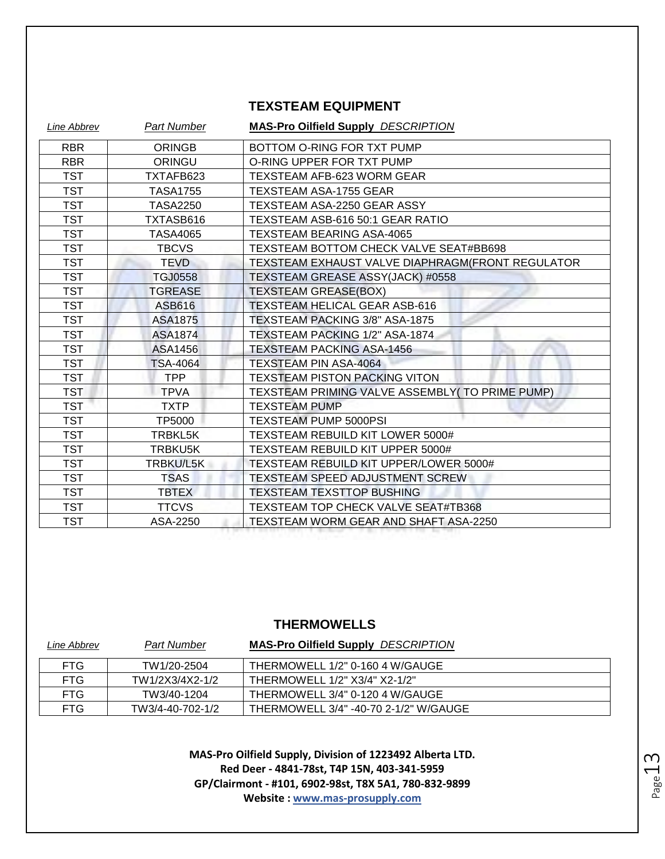#### **TEXSTEAM EQUIPMENT**

| Line Abbrev | <b>Part Number</b> | <b>MAS-Pro Oilfield Supply DESCRIPTION</b>       |
|-------------|--------------------|--------------------------------------------------|
| <b>RBR</b>  | <b>ORINGB</b>      | BOTTOM O-RING FOR TXT PUMP                       |
| <b>RBR</b>  | ORINGU             | O-RING UPPER FOR TXT PUMP                        |
| <b>TST</b>  | TXTAFB623          | <b>TEXSTEAM AFB-623 WORM GEAR</b>                |
| <b>TST</b>  | <b>TASA1755</b>    | <b>TEXSTEAM ASA-1755 GEAR</b>                    |
| <b>TST</b>  | <b>TASA2250</b>    | TEXSTEAM ASA-2250 GEAR ASSY                      |
| TST         | TXTASB616          | TEXSTEAM ASB-616 50:1 GEAR RATIO                 |
| TST         | <b>TASA4065</b>    | <b>TEXSTEAM BEARING ASA-4065</b>                 |
| <b>TST</b>  | <b>TBCVS</b>       | TEXSTEAM BOTTOM CHECK VALVE SEAT#BB698           |
| <b>TST</b>  | <b>TEVD</b>        | TEXSTEAM EXHAUST VALVE DIAPHRAGM(FRONT REGULATOR |
| <b>TST</b>  | <b>TGJ0558</b>     | TEXSTEAM GREASE ASSY(JACK) #0558                 |
| <b>TST</b>  | <b>TGREASE</b>     | <b>TEXSTEAM GREASE(BOX)</b>                      |
| TST         | ASB616             | TEXSTEAM HELICAL GEAR ASB-616                    |
| TST         | <b>ASA1875</b>     | TEXSTEAM PACKING 3/8" ASA-1875                   |
| TST         | ASA1874            | TEXSTEAM PACKING 1/2" ASA-1874                   |
| <b>TST</b>  | ASA1456            | <b>TEXSTEAM PACKING ASA-1456</b>                 |
| <b>TST</b>  | <b>TSA-4064</b>    | <b>TEXSTEAM PIN ASA-4064</b>                     |
| TST         | <b>TPP</b>         | <b>TEXSTEAM PISTON PACKING VITON</b>             |
| <b>TST</b>  | <b>TPVA</b>        | TEXSTEAM PRIMING VALVE ASSEMBLY( TO PRIME PUMP)  |
| <b>TST</b>  | <b>TXTP</b>        | <b>TEXSTEAM PUMP</b>                             |
| TST         | TP5000             | <b>TEXSTEAM PUMP 5000PSI</b>                     |
| <b>TST</b>  | TRBKL5K            | TEXSTEAM REBUILD KIT LOWER 5000#                 |
| <b>TST</b>  | TRBKU5K            | TEXSTEAM REBUILD KIT UPPER 5000#                 |
| TST         | TRBKU/L5K          | TEXSTEAM REBUILD KIT UPPER/LOWER 5000#           |
| <b>TST</b>  | <b>TSAS</b>        | TEXSTEAM SPEED ADJUSTMENT SCREW                  |
| <b>TST</b>  | <b>TBTEX</b>       | <b>TEXSTEAM TEXSTTOP BUSHING</b>                 |
| TST         | <b>TTCVS</b>       | TEXSTEAM TOP CHECK VALVE SEAT#TB368              |
| <b>TST</b>  | ASA-2250           | TEXSTEAM WORM GEAR AND SHAFT ASA-2250            |

#### **THERMOWELLS**

| Line Abbrev | Part Number      | <b>MAS-Pro Oilfield Supply DESCRIPTION</b> |
|-------------|------------------|--------------------------------------------|
| <b>FTG</b>  | TW1/20-2504      | THERMOWELL 1/2" 0-160 4 W/GAUGE            |
| FTG.        | TW1/2X3/4X2-1/2  | THERMOWELL 1/2" X3/4" X2-1/2"              |
| <b>FTG</b>  | TW3/40-1204      | THERMOWELL 3/4" 0-120 4 W/GAUGE            |
| FTG.        | TW3/4-40-702-1/2 | THERMOWELL 3/4" -40-70 2-1/2" W/GAUGE      |

Page 13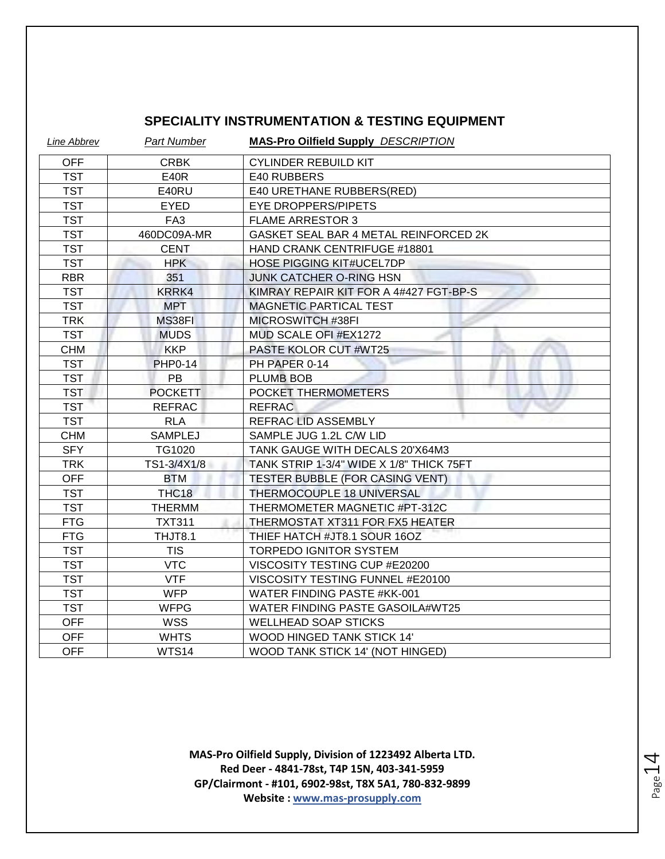#### **SPECIALITY INSTRUMENTATION & TESTING EQUIPMENT**

| Line Abbrev | <b>Part Number</b> | <b>MAS-Pro Oilfield Supply DESCRIPTION</b> |
|-------------|--------------------|--------------------------------------------|
| <b>OFF</b>  | <b>CRBK</b>        | <b>CYLINDER REBUILD KIT</b>                |
| <b>TST</b>  | E40R               | E40 RUBBERS                                |
| <b>TST</b>  | E40RU              | E40 URETHANE RUBBERS(RED)                  |
| <b>TST</b>  | <b>EYED</b>        | <b>EYE DROPPERS/PIPETS</b>                 |
| <b>TST</b>  | FA <sub>3</sub>    | <b>FLAME ARRESTOR 3</b>                    |
| <b>TST</b>  | 460DC09A-MR        | GASKET SEAL BAR 4 METAL REINFORCED 2K      |
| <b>TST</b>  | <b>CENT</b>        | HAND CRANK CENTRIFUGE #18801               |
| <b>TST</b>  | <b>HPK</b>         | <b>HOSE PIGGING KIT#UCEL7DP</b>            |
| <b>RBR</b>  | 351                | <b>JUNK CATCHER O-RING HSN</b>             |
| <b>TST</b>  | KRRK4              | KIMRAY REPAIR KIT FOR A 4#427 FGT-BP-S     |
| <b>TST</b>  | <b>MPT</b>         | <b>MAGNETIC PARTICAL TEST</b>              |
| <b>TRK</b>  | MS38FI             | MICROSWITCH #38FI                          |
| <b>TST</b>  | <b>MUDS</b>        | MUD SCALE OFI #EX1272                      |
| <b>CHM</b>  | <b>KKP</b>         | PASTE KOLOR CUT #WT25                      |
| <b>TST</b>  | <b>PHP0-14</b>     | PH PAPER 0-14                              |
| <b>TST</b>  | <b>PB</b>          | <b>PLUMB BOB</b>                           |
| <b>TST</b>  | <b>POCKETT</b>     | POCKET THERMOMETERS                        |
| <b>TST</b>  | <b>REFRAC</b>      | <b>REFRAC</b>                              |
| <b>TST</b>  | <b>RLA</b>         | REFRAC LID ASSEMBLY                        |
| <b>CHM</b>  | <b>SAMPLEJ</b>     | SAMPLE JUG 1.2L C/W LID                    |
| <b>SFY</b>  | TG1020             | TANK GAUGE WITH DECALS 20'X64M3            |
| <b>TRK</b>  | TS1-3/4X1/8        | TANK STRIP 1-3/4" WIDE X 1/8" THICK 75FT   |
| <b>OFF</b>  | <b>BTM</b>         | <b>TESTER BUBBLE (FOR CASING VENT)</b>     |
| <b>TST</b>  | THC <sub>18</sub>  | <b>THERMOCOUPLE 18 UNIVERSAL</b>           |
| <b>TST</b>  | <b>THERMM</b>      | THERMOMETER MAGNETIC #PT-312C              |
| <b>FTG</b>  | <b>TXT311</b>      | THERMOSTAT XT311 FOR FX5 HEATER            |
| <b>FTG</b>  | THJT8.1            | THIEF HATCH #JT8.1 SOUR 16OZ               |
| <b>TST</b>  | <b>TIS</b>         | TORPEDO IGNITOR SYSTEM                     |
| <b>TST</b>  | <b>VTC</b>         | VISCOSITY TESTING CUP #E20200              |
| <b>TST</b>  | <b>VTF</b>         | VISCOSITY TESTING FUNNEL #E20100           |
| <b>TST</b>  | <b>WFP</b>         | WATER FINDING PASTE #KK-001                |
| <b>TST</b>  | <b>WFPG</b>        | WATER FINDING PASTE GASOILA#WT25           |
| <b>OFF</b>  | <b>WSS</b>         | <b>WELLHEAD SOAP STICKS</b>                |
| <b>OFF</b>  | <b>WHTS</b>        | WOOD HINGED TANK STICK 14'                 |
| <b>OFF</b>  | WTS14              | WOOD TANK STICK 14' (NOT HINGED)           |